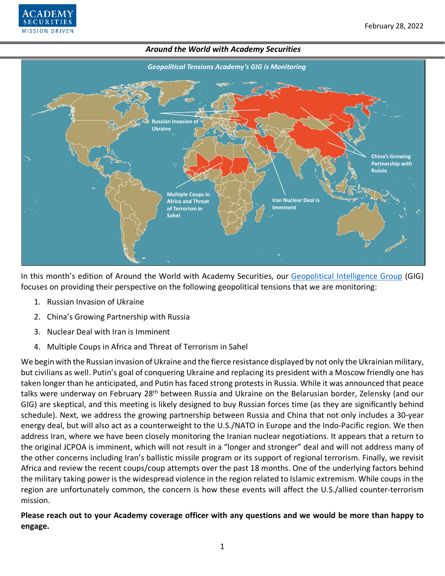



In this month's edition of Around the World with Academy Securities, our [Geopolitical Intelligence Group](https://www.academysecurities.com/geopolitical/geopolitical-intelligence-group/) (GIG) focuses on providing their perspective on the following geopolitical tensions that we are monitoring:

- 1. Russian Invasion of Ukraine
- 2. China's Growing Partnership with Russia
- 3. Nuclear Deal with Iran is Imminent
- 4. Multiple Coups in Africa and Threat of Terrorism in Sahel

We begin with the Russian invasion of Ukraine and the fierce resistance displayed by not only the Ukrainian military, but civilians as well. Putin's goal of conquering Ukraine and replacing its president with a Moscow friendly one has taken longer than he anticipated, and Putin has faced strong protests in Russia. While it was announced that peace talks were underway on February 28<sup>th</sup> between Russia and Ukraine on the Belarusian border, Zelensky (and our GIG) are skeptical, and this meeting is likely designed to buy Russian forces time (as they are significantly behind schedule). Next, we address the growing partnership between Russia and China that not only includes a 30-year energy deal, but will also act as a counterweight to the U.S./NATO in Europe and the Indo-Pacific region. We then address Iran, where we have been closely monitoring the Iranian nuclear negotiations. It appears that a return to the original JCPOA is imminent, which will not result in a "longer and stronger" deal and will not address many of the other concerns including Iran's ballistic missile program or its support of regional terrorism. Finally, we revisit Africa and review the recent coups/coup attempts over the past 18 months. One of the underlying factors behind the military taking power is the widespread violence in the region related to Islamic extremism. While coups in the region are unfortunately common, the concern is how these events will affect the U.S./allied counter-terrorism mission.

**Please reach out to your Academy coverage officer with any questions and we would be more than happy to engage.**

1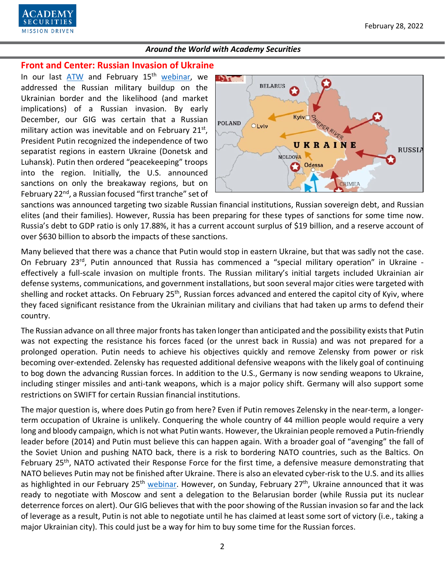

# **Front and Center: Russian Invasion of Ukraine**

In our last [ATW](https://www.academysecurities.com/geopolitical/around-the-world/) and February 15<sup>th</sup> [webinar,](https://www.youtube.com/watch?v=ordQWJwPTvs) we addressed the Russian military buildup on the Ukrainian border and the likelihood (and market implications) of a Russian invasion. By early December, our GIG was certain that a Russian military action was inevitable and on February  $21^{st}$ , President Putin recognized the independence of two separatist regions in eastern Ukraine (Donetsk and Luhansk). Putin then ordered "peacekeeping" troops into the region. Initially, the U.S. announced sanctions on only the breakaway regions, but on February 22<sup>nd</sup>, a Russian focused "first tranche" set of



sanctions was announced targeting two sizable Russian financial institutions, Russian sovereign debt, and Russian elites (and their families). However, Russia has been preparing for these types of sanctions for some time now. Russia's debt to GDP ratio is only 17.88%, it has a current account surplus of \$19 billion, and a reserve account of over \$630 billion to absorb the impacts of these sanctions.

Many believed that there was a chance that Putin would stop in eastern Ukraine, but that was sadly not the case. On February 23<sup>rd</sup>, Putin announced that Russia has commenced a "special military operation" in Ukraine effectively a full-scale invasion on multiple fronts. The Russian military's initial targets included Ukrainian air defense systems, communications, and government installations, but soon several major cities were targeted with shelling and rocket attacks. On February 25<sup>th</sup>, Russian forces advanced and entered the capitol city of Kyiv, where they faced significant resistance from the Ukrainian military and civilians that had taken up arms to defend their country.

The Russian advance on all three major fronts has taken longer than anticipated and the possibility exists that Putin was not expecting the resistance his forces faced (or the unrest back in Russia) and was not prepared for a prolonged operation. Putin needs to achieve his objectives quickly and remove Zelensky from power or risk becoming over-extended. Zelensky has requested additional defensive weapons with the likely goal of continuing to bog down the advancing Russian forces. In addition to the U.S., Germany is now sending weapons to Ukraine, including stinger missiles and anti-tank weapons, which is a major policy shift. Germany will also support some restrictions on SWIFT for certain Russian financial institutions.

The major question is, where does Putin go from here? Even if Putin removes Zelensky in the near-term, a longerterm occupation of Ukraine is unlikely. Conquering the whole country of 44 million people would require a very long and bloody campaign, which is not what Putin wants. However, the Ukrainian people removed a Putin-friendly leader before (2014) and Putin must believe this can happen again. With a broader goal of "avenging" the fall of the Soviet Union and pushing NATO back, there is a risk to bordering NATO countries, such as the Baltics. On February 25th, NATO activated their Response Force for the first time, a defensive measure demonstrating that NATO believes Putin may not be finished after Ukraine. There is also an elevated cyber-risk to the U.S. and its allies as highlighted in our February 25<sup>th</sup> [webinar.](https://www.youtube.com/watch?v=xQNIyO355ZU) However, on Sunday, February 27<sup>th</sup>, Ukraine announced that it was ready to negotiate with Moscow and sent a delegation to the Belarusian border (while Russia put its nuclear deterrence forces on alert). Our GIG believes that with the poor showing of the Russian invasion so far and the lack of leverage as a result, Putin is not able to negotiate until he has claimed at least some sort of victory (i.e., taking a major Ukrainian city). This could just be a way for him to buy some time for the Russian forces.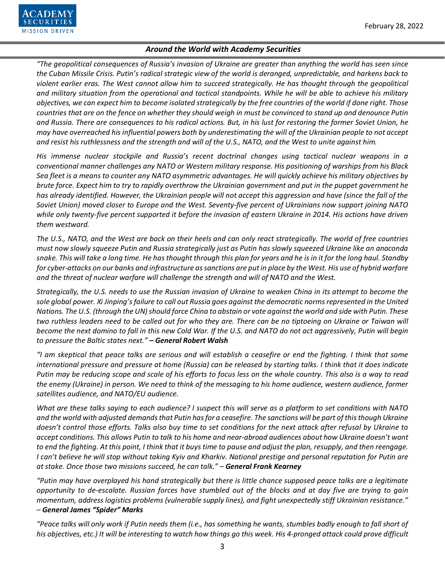

*"The geopolitical consequences of Russia's invasion of Ukraine are greater than anything the world has seen since the Cuban Missile Crisis. Putin's radical strategic view of the world is deranged, unpredictable, and harkens back to violent earlier eras. The West cannot allow him to succeed strategically. He has thought through the geopolitical and military situation from the operational and tactical standpoints. While he will be able to achieve his military objectives, we can expect him to become isolated strategically by the free countries of the world if done right. Those countries that are on the fence on whether they should weigh in must be convinced to stand up and denounce Putin and Russia. There are consequences to his radical actions. But, in his lust for restoring the former Soviet Union, he may have overreached his influential powers both by underestimating the will of the Ukrainian people to not accept and resist his ruthlessness and the strength and will of the U.S., NATO, and the West to unite against him.* 

*His immense nuclear stockpile and Russia's recent doctrinal changes using tactical nuclear weapons in a conventional manner challenges any NATO or Western military response. His positioning of warships from his Black Sea fleet is a means to counter any NATO asymmetric advantages. He will quickly achieve his military objectives by brute force. Expect him to try to rapidly overthrow the Ukrainian government and put in the puppet government he has already identified. However, the Ukrainian people will not accept this aggression and have (since the fall of the Soviet Union) moved closer to Europe and the West. Seventy-five percent of Ukrainians now support joining NATO while only twenty-five percent supported it before the invasion of eastern Ukraine in 2014. His actions have driven them westward.*

*The U.S., NATO, and the West are back on their heels and can only react strategically. The world of free countries must now slowly squeeze Putin and Russia strategically just as Putin has slowly squeezed Ukraine like an anaconda snake. This will take a long time. He has thought through this plan for years and he is in it for the long haul. Standby for cyber-attacks on our banks and infrastructure as sanctions are put in place by the West. His use of hybrid warfare and the threat of nuclear warfare will challenge the strength and will of NATO and the West.*

*Strategically, the U.S. needs to use the Russian invasion of Ukraine to weaken China in its attempt to become the sole global power. Xi Jinping's failure to call out Russia goes against the democratic norms represented in the United Nations. The U.S. (through the UN) should force China to abstain or vote against the world and side with Putin. These two ruthless leaders need to be called out for who they are. There can be no tiptoeing on Ukraine or Taiwan will become the next domino to fall in this new Cold War. If the U.S. and NATO do not act aggressively, Putin will begin to pressure the Baltic states next." – General Robert Walsh*

*"I am skeptical that peace talks are serious and will establish a ceasefire or end the fighting. I think that some international pressure and pressure at home (Russia) can be released by starting talks. I think that it does indicate Putin may be reducing scope and scale of his efforts to focus less on the whole country. This also is a way to read the enemy (Ukraine) in person. We need to think of the messaging to his home audience, western audience, former satellites audience, and NATO/EU audience.* 

*What are these talks saying to each audience? I suspect this will serve as a platform to set conditions with NATO and the world with adjusted demands that Putin has for a ceasefire. The sanctions will be part of this though Ukraine doesn't control those efforts. Talks also buy time to set conditions for the next attack after refusal by Ukraine to accept conditions. This allows Putin to talk to his home and near-abroad audiences about how Ukraine doesn't want to end the fighting. At this point, I think that it buys time to pause and adjust the plan, resupply, and then reengage. I can't believe he will stop without taking Kyiv and Kharkiv. National prestige and personal reputation for Putin are at stake. Once those two missions succeed, he can talk." – General Frank Kearney*

*"Putin may have overplayed his hand strategically but there is little chance supposed peace talks are a legitimate opportunity to de-escalate. Russian forces have stumbled out of the blocks and at day five are trying to gain momentum, address logistics problems (vulnerable supply lines), and fight unexpectedly stiff Ukrainian resistance." – General James "Spider" Marks*

*"Peace talks will only work if Putin needs them (i.e., has something he wants, stumbles badly enough to fall short of his objectives, etc.) It will be interesting to watch how things go this week. His 4-pronged attack could prove difficult*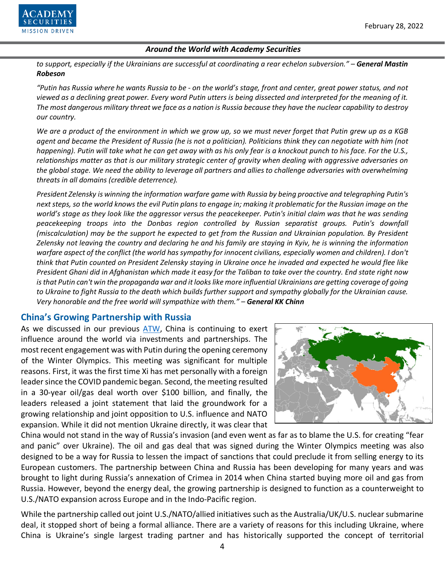

*to support, especially if the Ukrainians are successful at coordinating a rear echelon subversion." – General Mastin Robeson*

*"Putin has Russia where he wants Russia to be - on the world's stage, front and center, great power status, and not viewed as a declining great power. Every word Putin utters is being dissected and interpreted for the meaning of it. The most dangerous military threat we face as a nation is Russia because they have the nuclear capability to destroy our country.*

*We are a product of the environment in which we grow up, so we must never forget that Putin grew up as a KGB agent and became the President of Russia (he is not a politician). Politicians think they can negotiate with him (not happening). Putin will take what he can get away with as his only fear is a knockout punch to his face. For the U.S., relationships matter as that is our military strategic center of gravity when dealing with aggressive adversaries on the global stage. We need the ability to leverage all partners and allies to challenge adversaries with overwhelming threats in all domains (credible deterrence).*

*President Zelensky is winning the information warfare game with Russia by being proactive and telegraphing Putin's next steps, so the world knows the evil Putin plans to engage in; making it problematic for the Russian image on the world's stage as they look like the aggressor versus the peacekeeper. Putin's initial claim was that he was sending peacekeeping troops into the Donbas region controlled by Russian separatist groups. Putin's downfall (miscalculation) may be the support he expected to get from the Russian and Ukrainian population. By President Zelensky not leaving the country and declaring he and his family are staying in Kyiv, he is winning the information*  warfare aspect of the conflict (the world has sympathy for innocent civilians, especially women and children). I don't *think that Putin counted on President Zelensky staying in Ukraine once he invaded and expected he would flee like President Ghani did in Afghanistan which made it easy for the Taliban to take over the country. End state right now is that Putin can't win the propaganda war and it looks like more influential Ukrainians are getting coverage of going to Ukraine to fight Russia to the death which builds further support and sympathy globally for the Ukrainian cause. Very honorable and the free world will sympathize with them." – General KK Chinn*

## **China's Growing Partnership with Russia**

As we discussed in our previous [ATW,](https://www.academysecurities.com/geopolitical/around-the-world/) China is continuing to exert influence around the world via investments and partnerships. The most recent engagement was with Putin during the opening ceremony of the Winter Olympics. This meeting was significant for multiple reasons. First, it was the first time Xi has met personally with a foreign leader since the COVID pandemic began. Second, the meeting resulted in a 30-year oil/gas deal worth over \$100 billion, and finally, the leaders released a joint statement that laid the groundwork for a growing relationship and joint opposition to U.S. influence and NATO expansion. While it did not mention Ukraine directly, it was clear that



China would not stand in the way of Russia's invasion (and even went as far as to blame the U.S. for creating "fear and panic" over Ukraine). The oil and gas deal that was signed during the Winter Olympics meeting was also designed to be a way for Russia to lessen the impact of sanctions that could preclude it from selling energy to its European customers. The partnership between China and Russia has been developing for many years and was brought to light during Russia's annexation of Crimea in 2014 when China started buying more oil and gas from Russia. However, beyond the energy deal, the growing partnership is designed to function as a counterweight to U.S./NATO expansion across Europe and in the Indo-Pacific region.

While the partnership called out joint U.S./NATO/allied initiatives such as the Australia/UK/U.S. nuclear submarine deal, it stopped short of being a formal alliance. There are a variety of reasons for this including Ukraine, where China is Ukraine's single largest trading partner and has historically supported the concept of territorial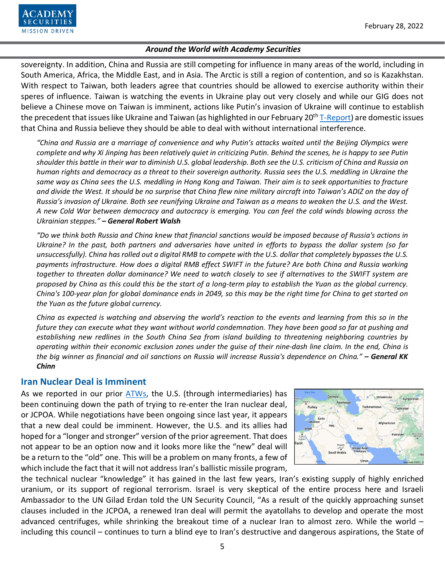

sovereignty. In addition, China and Russia are still competing for influence in many areas of the world, including in South America, Africa, the Middle East, and in Asia. The Arctic is still a region of contention, and so is Kazakhstan. With respect to Taiwan, both leaders agree that countries should be allowed to exercise authority within their speres of influence. Taiwan is watching the events in Ukraine play out very closely and while our GIG does not believe a Chinese move on Taiwan is imminent, actions like Putin's invasion of Ukraine will continue to establish the precedent that issues like Ukraine and Taiwan (as highlighted in our February 20<sup>th</sup> [T-Report\)](https://www.academysecurities.com/wordpress/wp-content/uploads/2022/02/The-Beijing-Olympics-as-Cultural-Bookends.pdf) are domestic issues that China and Russia believe they should be able to deal with without international interference.

*"China and Russia are a marriage of convenience and why Putin's attacks waited until the Beijing Olympics were complete and why Xi Jinping has been relatively quiet in criticizing Putin. Behind the scenes, he is happy to see Putin shoulder this battle in their war to diminish U.S. global leadership. Both see the U.S. criticism of China and Russia on human rights and democracy as a threat to their sovereign authority. Russia sees the U.S. meddling in Ukraine the same way as China sees the U.S. meddling in Hong Kong and Taiwan. Their aim is to seek opportunities to fracture and divide the West. It should be no surprise that China flew nine military aircraft into Taiwan's ADIZ on the day of Russia's invasion of Ukraine. Both see reunifying Ukraine and Taiwan as a means to weaken the U.S. and the West. A new Cold War between democracy and autocracy is emerging. You can feel the cold winds blowing across the Ukrainian steppes." – General Robert Walsh*

*"Do we think both Russia and China knew that financial sanctions would be imposed because of Russia's actions in Ukraine? In the past, both partners and adversaries have united in efforts to bypass the dollar system (so far unsuccessfully). China has rolled out a digital RMB to compete with the U.S. dollar that completely bypasses the U.S. payments infrastructure. How does a digital RMB effect SWIFT in the future? Are both China and Russia working together to threaten dollar dominance? We need to watch closely to see if alternatives to the SWIFT system are proposed by China as this could this be the start of a long-term play to establish the Yuan as the global currency. China's 100-year plan for global dominance ends in 2049, so this may be the right time for China to get started on the Yuan as the future global currency.* 

*China as expected is watching and observing the world's reaction to the events and learning from this so in the future they can execute what they want without world condemnation. They have been good so far at pushing and establishing new redlines in the South China Sea from island building to threatening neighboring countries by operating within their economic exclusion zones under the guise of their nine-dash line claim. In the end, China is the big winner as financial and oil sanctions on Russia will increase Russia's dependence on China." – General KK Chinn*

## **Iran Nuclear Deal is Imminent**

As we reported in our prior [ATWs](https://www.academysecurities.com/geopolitical/around-the-world/), the U.S. (through intermediaries) has been continuing down the path of trying to re-enter the Iran nuclear deal, or JCPOA. While negotiations have been ongoing since last year, it appears that a new deal could be imminent. However, the U.S. and its allies had hoped for a "longer and stronger" version of the prior agreement. That does not appear to be an option now and it looks more like the "new" deal will be a return to the "old" one. This will be a problem on many fronts, a few of which include the fact that it will not address Iran's ballistic missile program,



the technical nuclear "knowledge" it has gained in the last few years, Iran's existing supply of highly enriched uranium, or its support of regional terrorism. Israel is very skeptical of the entire process here and Israeli Ambassador to the UN Gilad Erdan told the UN Security Council, "As a result of the quickly approaching sunset clauses included in the JCPOA, a renewed Iran deal will permit the ayatollahs to develop and operate the most advanced centrifuges, while shrinking the breakout time of a nuclear Iran to almost zero. While the world – including this council – continues to turn a blind eye to Iran's destructive and dangerous aspirations, the State of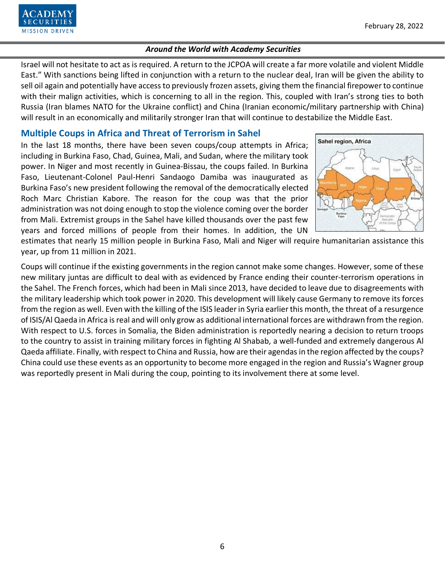Israel will not hesitate to act as is required. A return to the JCPOA will create a far more volatile and violent Middle East." With sanctions being lifted in conjunction with a return to the nuclear deal, Iran will be given the ability to sell oil again and potentially have access to previously frozen assets, giving them the financial firepower to continue with their malign activities, which is concerning to all in the region. This, coupled with Iran's strong ties to both Russia (Iran blames NATO for the Ukraine conflict) and China (Iranian economic/military partnership with China) will result in an economically and militarily stronger Iran that will continue to destabilize the Middle East.

# **Multiple Coups in Africa and Threat of Terrorism in Sahel**

**MISSION DRIVEN** 

In the last 18 months, there have been seven coups/coup attempts in Africa; including in Burkina Faso, Chad, Guinea, Mali, and Sudan, where the military took power. In Niger and most recently in Guinea-Bissau, the coups failed. In Burkina Faso, Lieutenant-Colonel Paul-Henri Sandaogo Damiba was inaugurated as Burkina Faso's new president following the removal of the democratically elected Roch Marc Christian Kabore. The reason for the coup was that the prior administration was not doing enough to stop the violence coming over the border from Mali. Extremist groups in the Sahel have killed thousands over the past few years and forced millions of people from their homes. In addition, the UN



estimates that nearly 15 million people in Burkina Faso, Mali and Niger will require humanitarian assistance this year, up from 11 million in 2021.

Coups will continue if the existing governments in the region cannot make some changes. However, some of these new military juntas are difficult to deal with as evidenced by France ending their counter-terrorism operations in the Sahel. The French forces, which had been in Mali since 2013, have decided to leave due to disagreements with the military leadership which took power in 2020. This development will likely cause Germany to remove its forces from the region as well. Even with the killing of the ISIS leader in Syria earlier this month, the threat of a resurgence of ISIS/Al Qaeda in Africa is real and will only grow as additional international forces are withdrawn from the region. With respect to U.S. forces in Somalia, the Biden administration is reportedly nearing a decision to return troops to the country to assist in training military forces in fighting Al Shabab, a well-funded and extremely dangerous Al Qaeda affiliate. Finally, with respect to China and Russia, how are their agendas in the region affected by the coups? China could use these events as an opportunity to become more engaged in the region and Russia's Wagner group was reportedly present in Mali during the coup, pointing to its involvement there at some level.